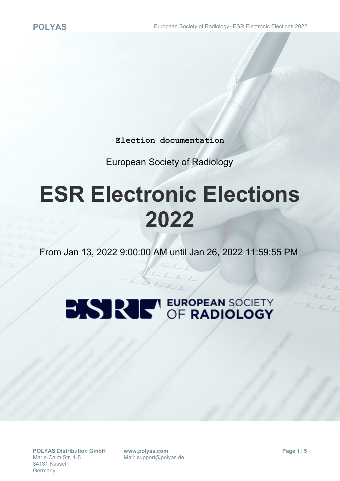**Election documentation**

European Society of Radiology

## **ESR Electronic Elections 2022**

From Jan 13, 2022 9:00:00 AM until Jan 26, 2022 11:59:55 PM

# **BISTRIE OF RADIOLOGY**

**www.polyas.com** Mail: support@polyas.de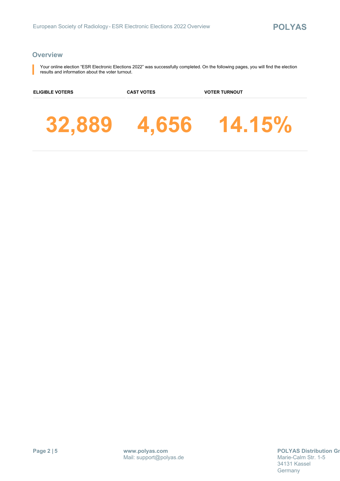#### **Overview**

Your online election "ESR Electronic Elections 2022" was successfully completed. On the following pages, you will find the election results and information about the voter turnout.

**ELIGIBLE VOTERS CAST VOTES VOTER TURNOUT**

**32,889 4,656 14.15%**

**Page 2 | 5**

**POLYAS Distribution Gm** Marie-Calm Str. 1-5 34131 Kassel **Germany**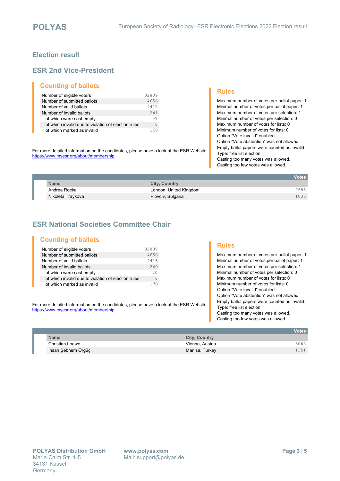#### **Election result**

#### **ESR 2nd Vice-President**

#### **Counting of ballots**

| Number of eligible voters                           | 32889 |
|-----------------------------------------------------|-------|
| Number of submitted ballots                         | 4656  |
| Number of valid ballots                             | 4415  |
| Number of invalid ballots                           | 2.41  |
| of which were cast empty                            | 91    |
| of which invalid due to violation of election rules | 0     |
| of which marked as invalid                          | 150   |

For more detailed information on the candidates, please have a look at the ESR Website <https://www.myesr.org/about/membership>

#### **Rules**

Maximum number of votes per ballot paper: 1 Minimal number of votes per ballot paper: 1 Maximum number of votes per selection: 1 Minimal number of votes per selection: 0 Maximum number of votes for lists: 0 Minimum number of votes for lists: 0 Option "Vote invalid" enabled Option "Vote abstention" was not allowed Empty ballot papers were counted as invalid. Type: free list election Casting too many votes was allowed. Casting too few votes was allowed.

|             |                   |                        | <b>Votes</b> |
|-------------|-------------------|------------------------|--------------|
| <b>Name</b> |                   | <b>City, Country</b>   |              |
|             | Andrea Rockall    | London, United Kingdom | 2585         |
|             | Nikoleta Traykova | Plovdiv, Bulgaria      | 1830         |

### **ESR National Societies Committee Chair**

#### **Counting of ballots**

| Number of eligible voters                           | 32889    |
|-----------------------------------------------------|----------|
| Number of submitted ballots                         | 4656     |
| Number of valid ballots                             | 4416     |
| Number of invalid ballots                           | 2.40     |
| of which were cast empty                            | 70       |
| of which invalid due to violation of election rules | $\left($ |
| of which marked as invalid                          | 170      |

For more detailed information on the candidates, please have a look at the ESR Website <https://www.myesr.org/about/membership>

#### **Rules**

Maximum number of votes per ballot paper: 1 Minimal number of votes per ballot paper: 1 Maximum number of votes per selection: 1 Minimal number of votes per selection: 0 Maximum number of votes for lists: 0 Minimum number of votes for lists: 0 Option "Vote invalid" enabled Option "Vote abstention" was not allowed Empty ballot papers were counted as invalid. Type: free list election Casting too many votes was allowed. Casting too few votes was allowed.

|                    |                      | <b>Votes</b> |
|--------------------|----------------------|--------------|
| <b>Name</b>        | <b>City, Country</b> |              |
| Christian Loewe    | Vienna, Austria      | 3065         |
| İhsan Şebnem Örgüç | Manisa, Turkey       | 1351         |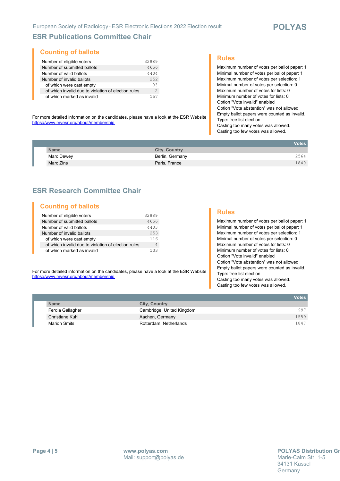#### **ESR Publications Committee Chair**

#### **Counting of ballots**

| Number of eligible voters                           | 32889         |
|-----------------------------------------------------|---------------|
| Number of submitted ballots                         | 4656          |
| Number of valid ballots                             | 4404          |
| Number of invalid ballots                           | 2.52          |
| of which were cast empty                            | 93            |
| of which invalid due to violation of election rules | $\mathcal{L}$ |
| of which marked as invalid                          | 157           |

#### **Rules**

Maximum number of votes per ballot paper: 1 Minimal number of votes per ballot paper: 1 Maximum number of votes per selection: 1 Minimal number of votes per selection: 0 Maximum number of votes for lists: 0 Minimum number of votes for lists: 0 Option "Vote invalid" enabled Option "Vote abstention" was not allowed Empty ballot papers were counted as invalid. Type: free list election Casting too many votes was allowed. Casting too few votes was allowed.

For more detailed information on the candidates, please have a look at the ESR Website <https://www.myesr.org/about/membership>

|             |                 | Votes <b>I</b> |
|-------------|-----------------|----------------|
| <b>Name</b> | City, Country   |                |
| Marc Dewey  | Berlin, Germany | 2564           |
| Marc Zins   | Paris, France   | 1840           |

#### **ESR Research Committee Chair**

#### **Counting of ballots**

| Number of eligible voters                           | 32889 |
|-----------------------------------------------------|-------|
| Number of submitted ballots                         | 4656  |
| Number of valid ballots                             | 4403  |
| Number of invalid ballots                           | 253   |
| of which were cast empty                            | 116   |
| of which invalid due to violation of election rules | 4     |
| of which marked as invalid                          | 133   |

#### **Rules**

Maximum number of votes per ballot paper: 1 Minimal number of votes per ballot paper: 1 Maximum number of votes per selection: 1 Minimal number of votes per selection: 0 Maximum number of votes for lists: 0 Minimum number of votes for lists: 0 Option "Vote invalid" enabled Option "Vote abstention" was not allowed Empty ballot papers were counted as invalid. Type: free list election Casting too many votes was allowed. Casting too few votes was allowed.

For more detailed information on the candidates, please have a look at the ESR Website <https://www.myesr.org/about/membership>

|                     |                           | <b>Votes</b> |
|---------------------|---------------------------|--------------|
| <b>Name</b>         | <b>City, Country</b>      |              |
| Ferdia Gallagher    | Cambridge, United Kingdom | 997          |
| Christiane Kuhl     | Aachen, Germany           | 1559         |
| <b>Marion Smits</b> | Rotterdam, Netherlands    | 1847         |